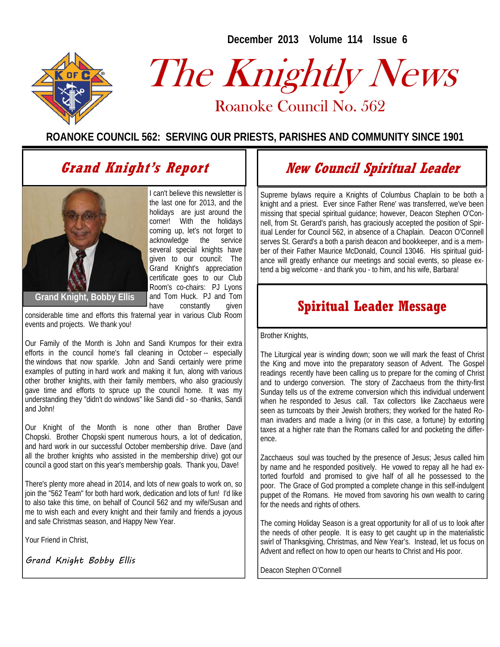**December 2013 Volume 114 Issue 6** 



# The Knightly News

Roanoke Council No. 562 Roanoke Council No. 562

**ROANOKE COUNCIL 562: SERVING OUR PRIESTS, PARISHES AND COMMUNITY SINCE 1901**

## **Grand Knight's Report**



I can't believe this newsletter is the last one for 2013, and the holidays are just around the corner! With the holidays coming up, let's not forget to acknowledge the service several special knights have given to our council: The Grand Knight's appreciation certificate goes to our Club Room's co-chairs: PJ Lyons and Tom Huck. PJ and Tom have constantly given

**Grand Knight, Bobby Ellis** 

considerable time and efforts this fraternal year in various Club Room events and projects. We thank you!

Our Family of the Month is John and Sandi Krumpos for their extra efforts in the council home's fall cleaning in October -- especially the windows that now sparkle. John and Sandi certainly were prime examples of putting in hard work and making it fun, along with various other brother knights, with their family members, who also graciously gave time and efforts to spruce up the council home. It was my understanding they "didn't do windows" like Sandi did - so -thanks, Sandi and John!

Our Knight of the Month is none other than Brother Dave Chopski. Brother Chopski spent numerous hours, a lot of dedication, and hard work in our successful October membership drive. Dave (and all the brother knights who assisted in the membership drive) got our council a good start on this year's membership goals. Thank you, Dave!

There's plenty more ahead in 2014, and lots of new goals to work on, so join the "562 Team" for both hard work, dedication and lots of fun! I'd like to also take this time, on behalf of Council 562 and my wife/Susan and me to wish each and every knight and their family and friends a joyous and safe Christmas season, and Happy New Year.

Your Friend in Christ,

Grand Knight Bobby Ellis

## **New Council Spiritual Leader**

Supreme bylaws require a Knights of Columbus Chaplain to be both a knight and a priest. Ever since Father Rene' was transferred, we've been missing that special spiritual guidance; however, Deacon Stephen O'Connell, from St. Gerard's parish, has graciously accepted the position of Spiritual Lender for Council 562, in absence of a Chaplain. Deacon O'Connell serves St. Gerard's a both a parish deacon and bookkeeper, and is a member of their Father Maurice McDonald, Council 13046. His spiritual guidance will greatly enhance our meetings and social events, so please extend a big welcome - and thank you - to him, and his wife, Barbara!

## **Spiritual Leader Message**

Brother Knights,

The Liturgical year is winding down; soon we will mark the feast of Christ the King and move into the preparatory season of Advent. The Gospel readings recently have been calling us to prepare for the coming of Christ and to undergo conversion. The story of Zacchaeus from the thirty-first Sunday tells us of the extreme conversion which this individual underwent when he responded to Jesus call. Tax collectors like Zacchaeus were seen as turncoats by their Jewish brothers; they worked for the hated Roman invaders and made a living (or in this case, a fortune) by extorting taxes at a higher rate than the Romans called for and pocketing the difference.

Zacchaeus soul was touched by the presence of Jesus; Jesus called him by name and he responded positively. He vowed to repay all he had extorted fourfold and promised to give half of all he possessed to the poor. The Grace of God prompted a complete change in this self-indulgent puppet of the Romans. He moved from savoring his own wealth to caring for the needs and rights of others.

The coming Holiday Season is a great opportunity for all of us to look after the needs of other people. It is easy to get caught up in the materialistic swirl of Thanksgiving, Christmas, and New Year's. Instead, let us focus on Advent and reflect on how to open our hearts to Christ and His poor.

Deacon Stephen O'Connell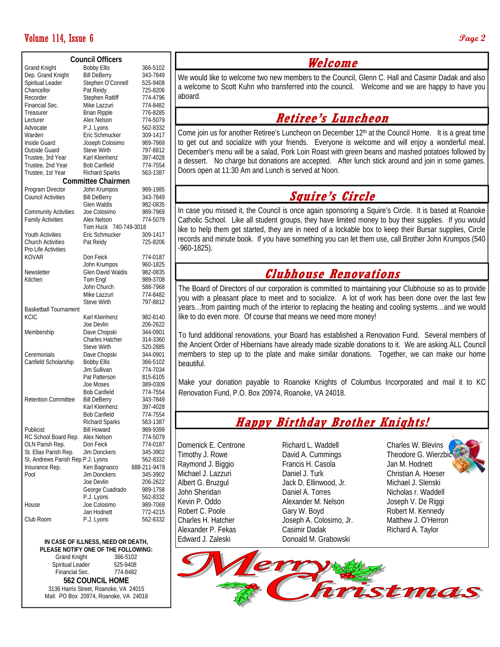#### Volume 114, Issue 6 **Page 2**

| <b>Council Officers</b>           |                          |              |          |
|-----------------------------------|--------------------------|--------------|----------|
| <b>Grand Knight</b>               | <b>Bobby Ellis</b>       |              | 366-5102 |
| Dep. Grand Knight                 | <b>Bill DeBerry</b>      |              | 343-7849 |
| Spiritual Leader                  | Stephen O'Connell        |              | 525-9408 |
| Chancellor                        | Pat Reidy                |              | 725-8206 |
| Recorder                          | Stephen Ratliff          |              | 774-4796 |
| Financial Sec.                    | Mike Lazzuri             |              | 774-8482 |
| Treasurer                         | <b>Brian Ripple</b>      |              | 776-8285 |
| Lecturer                          | Alex Nelson              |              | 774-5079 |
| Advocate                          | P.J. Lyons               |              | 562-8332 |
|                                   |                          |              |          |
| Warden                            | Eric Schmucker           |              | 309-1417 |
| Inside Guard                      | Joseph Colosimo          |              | 989-7969 |
| Outside Guard                     | Steve Wirth              |              | 797-8812 |
| Trustee, 3rd Year                 | Karl Kleinhenz           |              | 397-4028 |
| Trustee, 2nd Year                 | <b>Bob Canfield</b>      |              | 774-7554 |
| Trustee, 1st Year                 | <b>Richard Sparks</b>    |              | 563-1387 |
| <b>Committee Chairmen</b>         |                          |              |          |
| Program Director                  | John Krumpos             |              | 989-1985 |
| Council Activities                | <b>Bill DeBerry</b>      |              | 343-7849 |
|                                   | Glen Waldis              |              | 982-0835 |
| <b>Community Activities</b>       | Joe Colosimo             |              | 989-7969 |
|                                   |                          |              |          |
| <b>Family Activities</b>          | Alex Nelson              |              | 774-5079 |
|                                   | 740-749-3018<br>Tom Huck |              |          |
| Youth Activities                  | Eric Schmucker           |              | 309-1417 |
| <b>Church Activities</b>          | Pat Reidy                |              | 725-8206 |
| Pro Life Activities               |                          |              |          |
| KOVAR                             | Don Feick                |              | 774-0187 |
|                                   | John Krumpos             |              | 960-1825 |
| Newsletter                        | Glen David Waldis        |              | 982-0835 |
| Kitchen                           | Tom Engl                 |              | 989-3708 |
|                                   | John Church              |              | 588-7968 |
|                                   | Mike Lazzuri             |              | 774-8482 |
|                                   | <b>Steve Wirth</b>       |              | 797-8812 |
| <b>Basketball Tournament</b>      |                          |              |          |
| <b>KCIC</b>                       | Karl Kleinhenz           |              | 982-8140 |
|                                   | Joe Devlin               |              | 206-2622 |
|                                   |                          |              |          |
| Membership                        | Dave Chopski             |              | 344-0901 |
|                                   | Charles Hatcher          |              | 314-3360 |
|                                   | <b>Steve Wirth</b>       |              | 520-2885 |
| Ceremonials                       | Dave Chopski             |              | 344-0901 |
| Canfield Scholarship              | <b>Bobby Ellis</b>       |              | 366-5102 |
|                                   | Jim Sullivan             |              | 774-7034 |
|                                   | Pat Patterson            |              | 815-6105 |
|                                   | Joe Moses                |              | 389-0309 |
|                                   | <b>Bob Canfield</b>      |              | 774-7554 |
| <b>Retention Committee</b>        | Bill DeBerry             |              | 343-7849 |
|                                   | Karl Kleinhenz           |              | 397-4028 |
|                                   | Bob Canfield             |              | 774-7554 |
|                                   | <b>Richard Sparks</b>    |              | 563-1387 |
|                                   |                          |              |          |
| Publicist                         | <b>Bill Howard</b>       |              | 989-9399 |
| RC School Board Rep.              | <b>Alex Nelson</b>       |              | 774-5079 |
| OLN Parish Rep.                   | Don Feick                |              | 774-0187 |
| St. Elias Parish Rep.             | Jim Donckers             |              | 345-3902 |
| St. Andrews Parish Rep.P.J. Lyons |                          |              | 562-8332 |
| Insurance Rep.                    | Ken Bagnasco             | 888-211-9478 |          |
| Pool                              | Jim Donckers             |              | 345-3902 |
|                                   | Joe Devlin               |              | 206-2622 |
|                                   | George Cuadrado          |              | 989-1758 |
|                                   | P.J. Lyons               |              | 562-8332 |
| House                             | Joe Colosimo             |              | 989-7069 |
|                                   | Jan Hodnett              |              | 772-4215 |
| Club Room                         | P.J. Lyons               |              | 562-8332 |
|                                   |                          |              |          |
|                                   |                          |              |          |

**IN CASE OF ILLNESS, NEED OR DEATH, PLEASE NOTIFY ONE OF THE FOLLOWING:**  Grand Knight 366-5102<br>
Spiritual Leader 525-9408 Spiritual Leader 525-9408<br>Financial Sec. 774-8482 Financial Sec. **562 COUNCIL HOME** 

3136 Harris Street, Roanoke, VA 24015 Mail: PO Box 20974, Roanoke, VA 24018

#### **Welcome**

We would like to welcome two new members to the Council, Glenn C. Hall and Casimir Dadak and also a welcome to Scott Kuhn who transferred into the council. Welcome and we are happy to have you aboard.

#### **Retiree's Luncheon**

Come join us for another Retiree's Luncheon on December  $12<sup>th</sup>$  at the Council Home. It is a great time to get out and socialize with your friends. Everyone is welcome and will enjoy a wonderful meal. December's menu will be a salad, Pork Loin Roast with green beans and mashed potatoes followed by a dessert. No charge but donations are accepted. After lunch stick around and join in some games. Doors open at 11:30 Am and Lunch is served at Noon.

#### **Squire's Circle**

In case you missed it, the Council is once again sponsoring a Squire's Circle. It is based at Roanoke Catholic School. Like all student groups, they have limited money to buy their supplies. If you would like to help them get started, they are in need of a lockable box to keep their Bursar supplies, Circle records and minute book. If you have something you can let them use, call Brother John Krumpos (540 -960-1825).

#### **Clubhouse Renovations**

The Board of Directors of our corporation is committed to maintaining your Clubhouse so as to provide you with a pleasant place to meet and to socialize. A lot of work has been done over the last few years…from painting much of the interior to replacing the heating and cooling systems…and we would like to do even more. Of course that means we need more money!

To fund additional renovations, your Board has established a Renovation Fund. Several members of the Ancient Order of Hibernians have already made sizable donations to it. We are asking ALL Council members to step up to the plate and make similar donations. Together, we can make our home beautiful.

Make your donation payable to Roanoke Knights of Columbus Incorporated and mail it to KC Renovation Fund, P.O. Box 20974, Roanoke, VA 24018.

#### **Happy Birthday Brother Knights!**

Domenick E. Centrone Timothy J. Rowe Raymond J. Biggio Michael J. Lazzuri Albert G. Bruzgul John Sheridan Kevin P. Oddo Robert C. Poole Charles H. Hatcher Alexander P. Fekas Edward J. Zaleski

Richard L. Waddell David A. Cummings Francis H. Casola Daniel J. Turk Jack D. Ellinwood, Jr. Daniel A. Torres Alexander M. Nelson Gary W. Boyd Joseph A. Colosimo, Jr. Casimir Dadak Donoald M. Grabowski

Charles W. Blevins Theodore G. Wierzbi Jan M. Hodnett Christian A. Hoeser Michael J. Slenski Nicholas r. Waddell Joseph V. De Riggi Robert M. Kennedy Matthew J. O'Herron Richard A. Taylor

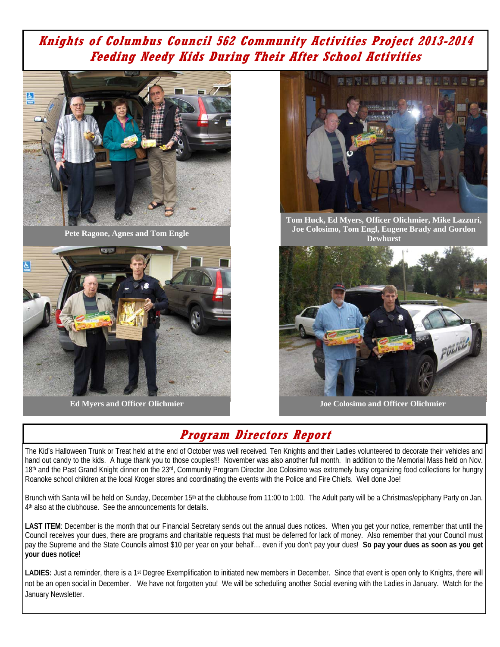#### **Knights of Columbus Council 562 Community Activities Project 2013-2014 Feeding Needy Kids During Their After School Activities**



**Pete Ragone, Agnes and Tom Engle** 



**Ed Myers and Officer Olichmier** 



**Tom Huck, Ed Myers, Officer Olichmier, Mike Lazzuri, Joe Colosimo, Tom Engl, Eugene Brady and Gordon Dewhurst** 



**Joe Colosimo and Officer Olichmier** 

## **Program Directors Report**

The Kid's Halloween Trunk or Treat held at the end of October was well received. Ten Knights and their Ladies volunteered to decorate their vehicles and hand out candy to the kids. A huge thank you to those couples!!! November was also another full month. In addition to the Memorial Mass held on Nov. 18<sup>th</sup> and the Past Grand Knight dinner on the 23<sup>rd</sup>, Community Program Director Joe Colosimo was extremely busy organizing food collections for hungry Roanoke school children at the local Kroger stores and coordinating the events with the Police and Fire Chiefs. Well done Joe!

Brunch with Santa will be held on Sunday, December 15<sup>th</sup> at the clubhouse from 11:00 to 1:00. The Adult party will be a Christmas/epiphany Party on Jan. 4th also at the clubhouse. See the announcements for details.

LAST ITEM: December is the month that our Financial Secretary sends out the annual dues notices. When you get your notice, remember that until the Council receives your dues, there are programs and charitable requests that must be deferred for lack of money. Also remember that your Council must pay the Supreme and the State Councils almost \$10 per year on your behalf… even if you don't pay your dues! **So pay your dues as soon as you get your dues notice!** 

LADIES: Just a reminder, there is a 1<sup>st</sup> Degree Exemplification to initiated new members in December. Since that event is open only to Knights, there will not be an open social in December. We have not forgotten you! We will be scheduling another Social evening with the Ladies in January. Watch for the January Newsletter.